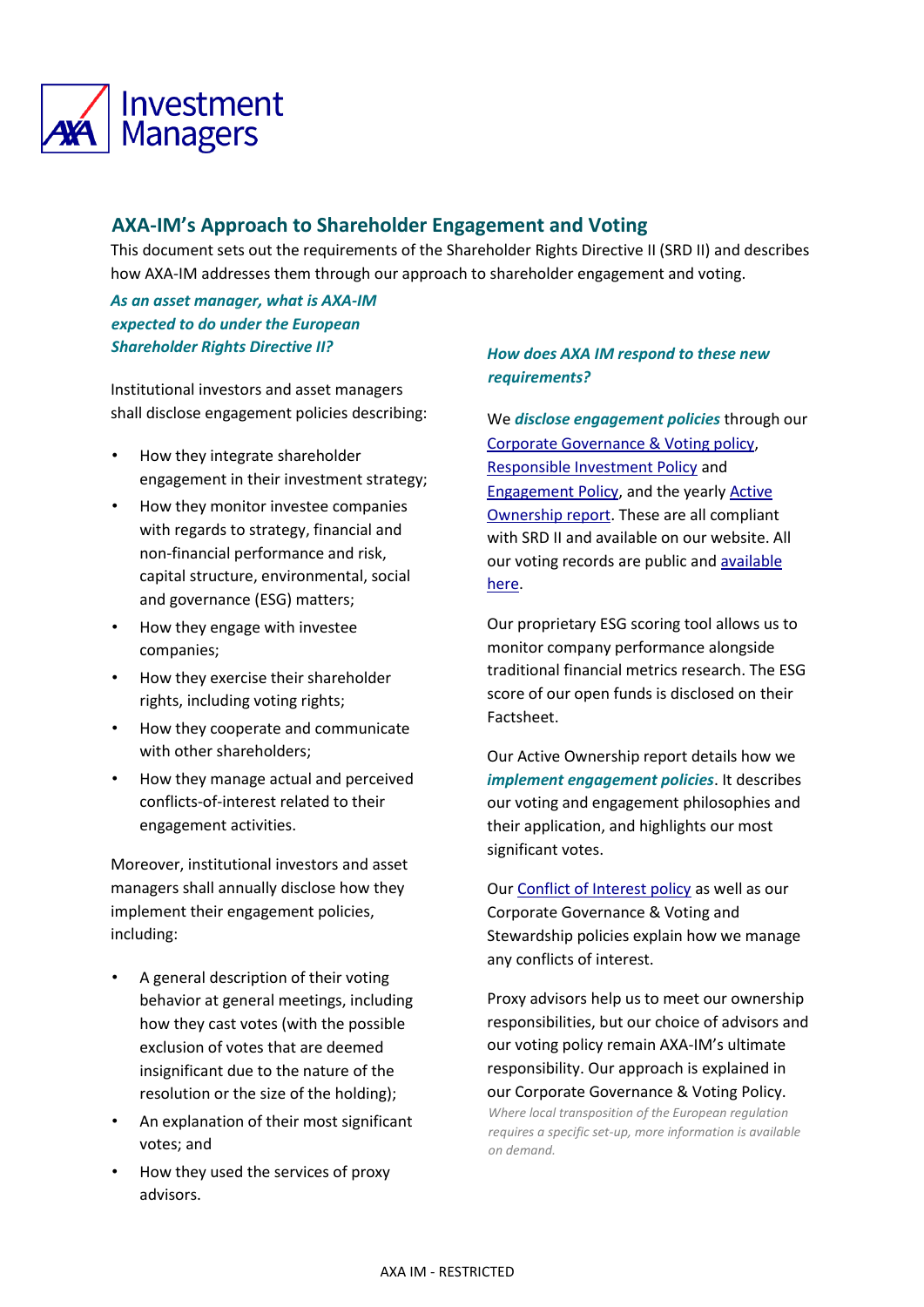

## **AXA-IM's Approach to Shareholder Engagement and Voting**

This document sets out the requirements of the Shareholder Rights Directive II (SRD II) and describes how AXA-IM addresses them through our approach to shareholder engagement and voting.

*As an asset manager, what is AXA-IM expected to do under the European Shareholder Rights Directive II?* 

Institutional investors and asset managers shall disclose engagement policies describing:

- How they integrate shareholder engagement in their investment strategy;
- How they monitor investee companies with regards to strategy, financial and non-financial performance and risk, capital structure, environmental, social and governance (ESG) matters;
- How they engage with investee companies;
- How they exercise their shareholder rights, including voting rights;
- How they cooperate and communicate with other shareholders;
- How they manage actual and perceived conflicts-of-interest related to their engagement activities.

Moreover, institutional investors and asset managers shall annually disclose how they implement their engagement policies, including:

- A general description of their voting behavior at general meetings, including how they cast votes (with the possible exclusion of votes that are deemed insignificant due to the nature of the resolution or the size of the holding);
- An explanation of their most significant votes; and
- How they used the services of proxy advisors.

## *How does AXA IM respond to these new requirements?*

We *disclose engagement policies* through our [Corporate Governance & Voting policy](https://www.axa-im.com/sites/corporate/files/insight/pdf/AXA_IM_Corporate_Governance_Voting_Policy_May_2020.pdf)[,](https://www.axa-im.com/documents/20195/618080/AXA+IM+Corporate+Governance++Voting+Policy+-+May+2020+%28EN%29.pdf/d102b181-5186-18a9-f47d-cba415401224?t=1589546884851) [Responsible](https://www.axa-im.com/documents/20195/30272372/20210316_RI+Policy_EN_final.pdf/5119c48c-2c81-26ec-28f9-8496f386b027?t=1616062678830) [Investment Policy](https://www.axa-im.com/sites/corporate/files/2021-08/20210316_RI%20Policy_EN_final.pdf) and [Engagement](https://www.axa-im.com/sites/corporate/files/2021-08/AXA_IM_Engagement_Policy_Oct_20.pdf) [Policy,](https://www.axa-im.com/documents/20195/14067199/AXA+IM+Engagement+Policy+-+Oct+20+%28Final%29.pdf/9328a734-b106-6a65-ee52-384b79fd4644?t=1603817464464) and the yearly [Active](https://www.axa-im.com/who-we-are/stewardship-and-engagement) [Ownership report.](https://www.axa-im.com/responsible-investing/stewardship) These are all compliant with SRD II and available on our website. All our voting records are public and [available](http://vds.issproxy.com/SearchPage.php?CustomerID=2281) [here.](http://vds.issproxy.com/SearchPage.php?CustomerID=2281) 

Our proprietary ESG scoring tool allows us to monitor company performance alongside traditional financial metrics research. The ESG score of our open funds is disclosed on their Factsheet.

Our Active Ownership report details how we *implement engagement policies*. It describes our voting and engagement philosophies and their application, and highlights our most significant votes.

Our [Conflict of Interest policy](https://www.axa-im.com/sites/corporate/files/2021-03/202103__AXA%20IM_Conflict%20of%20Interest%20policy.pdf) as well as our Corporate Governance & Voting and Stewardship policies explain how we manage any conflicts of interest.

Proxy advisors help us to meet our ownership responsibilities, but our choice of advisors and our voting policy remain AXA-IM's ultimate responsibility. Our approach is explained in our Corporate Governance & Voting Policy. *Where local transposition of the European regulation requires a specific set-up, more information is available on demand.*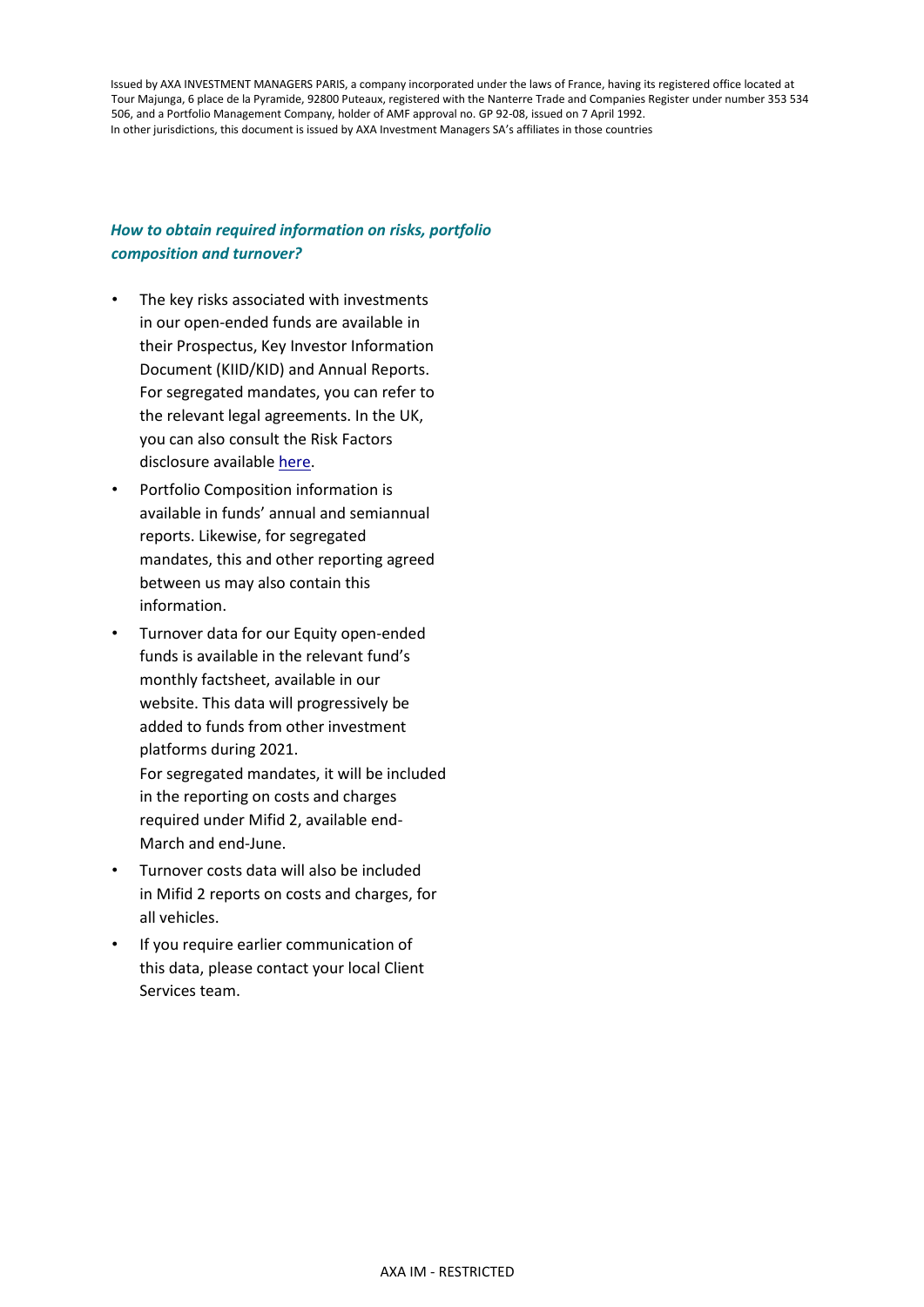Issued by AXA INVESTMENT MANAGERS PARIS, a company incorporated under the laws of France, having its registered office located at Tour Majunga, 6 place de la Pyramide, 92800 Puteaux, registered with the Nanterre Trade and Companies Register under number 353 534 506, and a Portfolio Management Company, holder of AMF approval no. GP 92-08, issued on 7 April 1992. In other jurisdictions, this document is issued by AXA Investment Managers SA's affiliates in those countries

## *How to obtain required information on risks, portfolio composition and turnover?*

- The key risks associated with investments in our open-ended funds are available in their Prospectus, Key Investor Information Document (KIID/KID) and Annual Reports. For segregated mandates, you can refer to the relevant legal agreements. In the UK, you can also consult the Risk Factors disclosure availabl[e here](https://www.axa-im.co.uk/important-information/mifid)[.](https://institutional.axa-im.co.uk/mifid)
- Portfolio Composition information is available in funds' annual and semiannual reports. Likewise, for segregated mandates, this and other reporting agreed between us may also contain this information.
- Turnover data for our Equity open-ended funds is available in the relevant fund's monthly factsheet, available in our website. This data will progressively be added to funds from other investment platforms during 2021. For segregated mandates, it will be included in the reporting on costs and charges required under Mifid 2, available end-March and end-June.
- Turnover costs data will also be included in Mifid 2 reports on costs and charges, for all vehicles.
- If you require earlier communication of this data, please contact your local Client Services team.